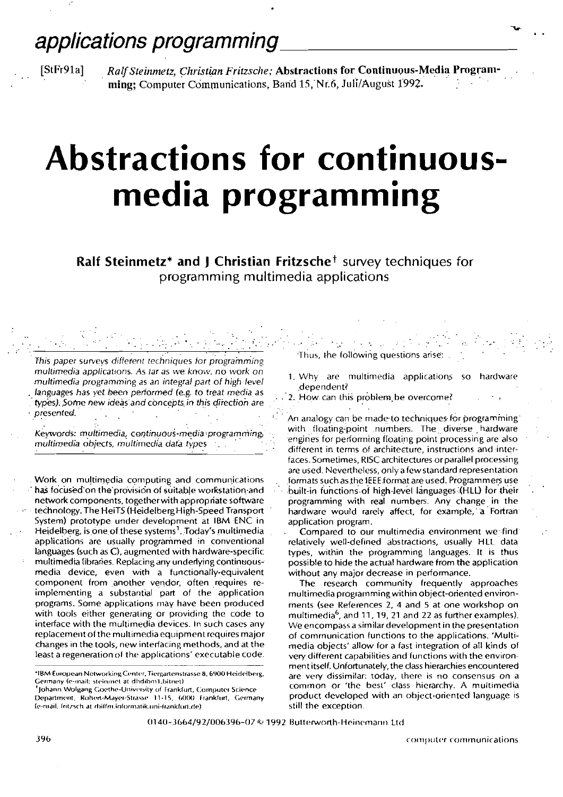## applications programming

 $[StFr91a]$ 

Ralf Steinmetz, Christian Fritzsche; Abstractions for Continuous-Media Programming; Computer Communications, Band 15, Nr.6, Juli/August 1992.

# **Abstractions for continuous**media programming

Ralf Steinmetz<sup>\*</sup> and J Christian Fritzsche<sup>†</sup> survey techniques for programming multimedia applications

This paper surveys different techniques for programming multimedia applications. As far as we know, no work on multimedia programming as an integral part of high level languages has yet been performed (e.g. to treat media as types). Some new ideas and concepts in this direction are presented.

Keywords: multimedia, continuous-media programming, multimedia objects, multimedia data types

Work on multimedia computing and communications has focused on the provision of suitable workstation and network components, together with appropriate software technology. The HeiTS (Heidelberg High-Speed Transport System) prototype under development at IBM ENC in Heidelberg, is one of these systems<sup>1</sup>. Today's multimedia applications are usually programmed in conventional languages (such as C), augmented with hardware-specific multimedia libraries. Replacing any underlying continuousmedia device, even with a functionally-equivalent component from another vendor, often requires reimplementing a substantial part of the application programs. Some applications may have been produced with tools either generating or providing the code to interface with the multimedia devices. In such cases any replacement of the multimedia equipment requires major changes in the tools, new interfacing methods, and at the least a regeneration of the applications' executable code.

\*IBM European Networking Center, Tiergartenstrasse 8, 6900 Heidelberg, Germany (e-mail: steinmet at dhdibm1.bitnet)

<sup>t</sup>Johann Wolgang Goethe-University of Frankfurt, Computer Science Department, Rohert-Mayer-Strasse 11-15, 6000 Frankfurt, Germany (e-mail, fritzsch at rbiffm,informatik.uni-frankfurt.de)

Thus, the following questions arise:

- 1. Why are multimedia applications  $SO<sub>2</sub>$ hardware dependent?
- 2. How can this problem be overcome?

An analogy can be made to techniques for programming with floating-point numbers. The diverse hardware engines for performing floating point processing are also different in terms of architecture, instructions and interfaces. Sometimes, RISC architectures or parallel processing are used. Nevertheless, only a few standard representation formats such as the IEEE format are used. Programmers use built-in functions of high-level languages (HLL) for their programming with real numbers. Any change in the hardware would rarely affect, for example, a Fortran application program.

Compared to our multimedia environment we find relatively well-defined abstractions, usually HLL data types, within the programming languages. It is thus possible to hide the actual hardware from the application without any major decrease in performance.

The research community frequently approaches multimedia programming within object-oriented environments (see References 2, 4 and 5 at one workshop on multimedia<sup>6</sup>, and 11, 19, 21 and 22 as further examples). We encompass a similar development in the presentation of communication functions to the applications. 'Multimedia objects' allow for a fast integration of all kinds of very different capabilities and functions with the environment itself. Unfortunately, the class hierarchies encountered are very dissimilar: today, there is no consensus on a common or 'the best' class hierarchy. A multimedia product developed with an object-oriented language is still the exception.

0140-3664/92/006396-07 @ 1992 Butterworth-Heinemann Ltd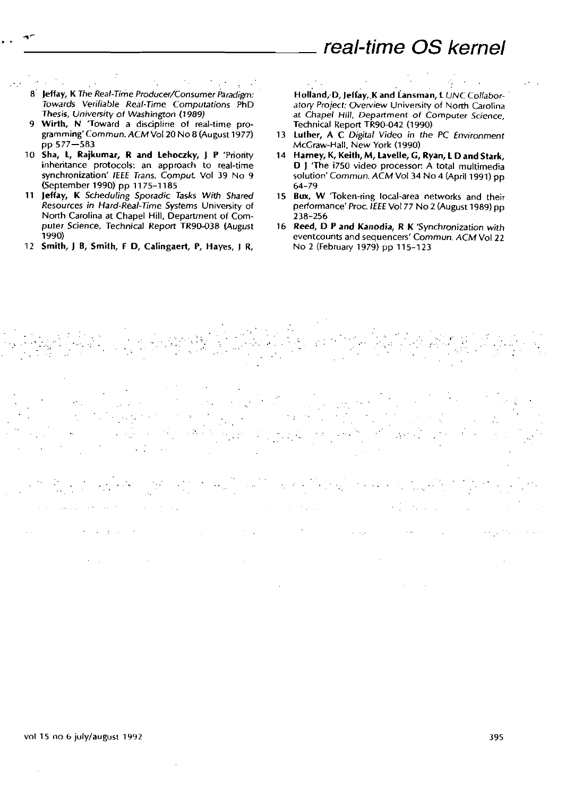- **Ieffay, K The Real-Time Producer/Consumer Paradiem:**  $\mathbf{a}^*$ Towards Verifiable Real-Time Computations PhD Thesis, University of Washington (1989)
- Wirth. N 'Toward a discipline of real-time pro- $\mathbf{q}$ gramming' Commun. ACM Vol 20 No 8 (August 1977) pp 577-583
- 10 Sha, L, Rajkumar, R and Lehoczky, J P 'Priority inhentance protocols: an approach to real-time synchronization' IEEE Trans. Comput. Vol 39 No 9 (September 1990) pp 1175-1185
- 11 Jeffay, K Scheduling Sporadic Tasks With Shared Resources in Hard-Real-Time Systems University of North Carolina at Chapel Hill, Department of Computer Science, Technical Report TR90-038 (August  $1990$
- 12 Smith, J B, Smith, F D, Calingaert, P, Hayes, J R,

Holland, D, Jeffay, K and Lansman, L UNC Collaboratory Project: Overview University of North Carolina at Chapel Hill, Department of Computer Science. Technical Report TR90-042 (1990)

- 13 Luther, A C Digital Video in the PC Environment McGraw-Hall, New York (1990)
- Harney, K, Keith, M, Lavelle, G, Ryan, L D and Stark,  $14$ D I 'The i750 video processor: A total multimedia solution' Commun. ACM Vol 34 No 4 (April 1991) pp  $64 - 79$
- 15 Bux, W 'Token-ring local-area networks and their performance' Proc. IEEE Vol 77 No 2 (August 1989) pp 238-256
- 16 Reed, D P and Kanodia, R K 'Synchronization with eventcounts and sequencers' Commun, ACM Vol 22 No 2 (February 1979) pp 115-123

vol 15 no 6 july/august 1992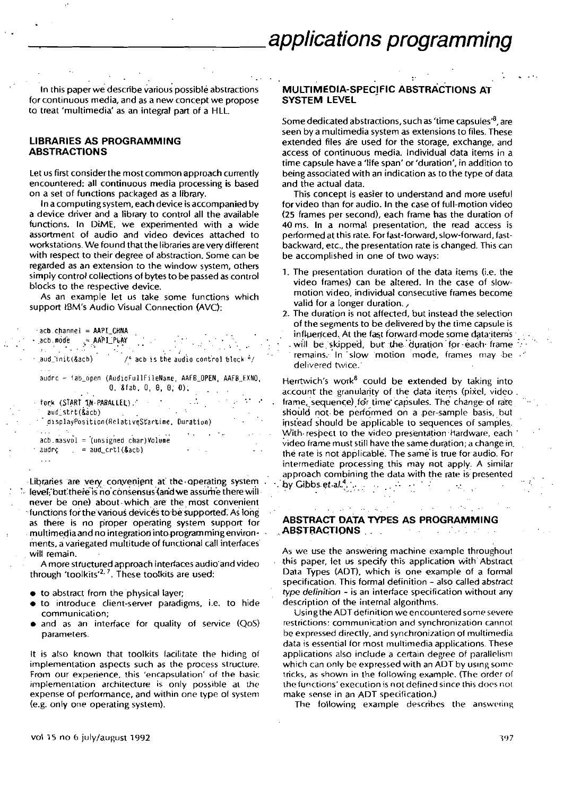In this paper we describe various possible abstractions for continuous rnedia, and as a new concept we propose to treat 'multimedia' as an integral part of a HLL.

#### LlBRARlES AS PROGRAMMING ABSTRACTIONS

Let us first considerthe most commonapproach currently encountered: all continuous media processing is based on a set of functions packaged as a library.

In acornputingsystem, each device isaccornpanied by a device driver and a library to control all the available functions. In DiME. we experimented with a wide assortrnent of audio and video devices attached to workstations. We found that the libraries are very different with respect to their degree of abstraction. Some can be regarded as an extension to the window System, others

As an example let us take some functions which right ration video, individual consecutive for a longer duration. support IBM's Audio Visual Connection (AVC):

```
acb.mode = AAPI_PLAY<br>aud_init(&acb) /* acb is the audio control block \epsilon/
 \frac{1}{2} delivered twice.<br>\frac{1}{2} delivered twice.<br>audro = fab_open (AudioFullFileName, AAFB_OPEN, AAFB_EXNO, \frac{1}{2} delivered twice.
   divPosition(RelativeStartime. Duration)
```
Libraries are very convenient at the operating system level, but there is no consensus (and we assume there will<br>never be one) about which are the most convenient functions for the various devices to be supported. As long  $\begin{array}{c} \text{a} \\ \text{c} \end{array}$  **ABSTRACT DATA TYPES AS PROGRAMMING** as there is no proper operating system support for ABSTRACT DATATYPES AST<br>multimedia.and.po.integration.into.programming.environ. ABSTRACTIONS . ~.. rnultirnediaand no iotearatiori **into.oroaramminaenviron-** . ..ABSTRACTIONS . . . . ments. a variegated multitude of functional call interfaces will remain.

A more structured approach interfaces audio and video through 'toolkits'<sup>2, 7</sup>. These toolkits are used:

- $\bullet$  to abstract from the physical layer;
- to introduce client-sewer paradigms, i.e. to hide communication;
- and as an interface for quality of sewice (QoS) Parameters.

It is also known that toolkits lacilitate the hiding of implementation aspects such as the process structure. From our experience. this 'encapsulation' of the hasic implementation architecture is only possible at the expense of performance, and within one type of system (e.g. only one operating system).

### **MULTIMEDIA-SPECIFIC ABSTRACTIONS AT** SYSTEM LEVEL

Some dedicated abstractions, such as 'time capsules'<sup>8</sup>, are seen by a multimedia system as extensions to files. These extended files are used for the Storage, exchange. and access of continuous rnedia. Individual data items in a time capsule havea 'life span' or 'duration', in addition to being associated with an indication as to the type of data and the actual data.

This concept is easier to understand and more useful for video than for audio. In the case of full-motion video (25 frames per second), each frame has the duration of 40 ms. In a normal presentation, the read access is performed at this rate. For fast-fonvard, slow-fonvard, fastbackward, etc., the presentation rate is changed. This can be accomplished in one of two ways:

- simply control collections of bytes to be passed as control **1.** The presentation duration of the data items (i.e. the simply control collections of bytes to be passed as control **1.** The presentation duration of the data video frames) can be altered. In the case of slow-<br>motion video, individual consecutive frames become
	- 2. The duration is not affected, but instead the selection of the segments to be delivered by the time capsule is influenced. At the fast forward mode some data items action and a set of the set of the set of the set of the set of the set of the set of the set of the set of the set of the set of the set of the set of the set of the set of the set of the set of the set of the set of the remains. In slow motion mode, frames may be

audrc = lab-open (AudiaFullFileName, AAFBKOPEN. AAFB-EXNO. ~~~~i~h~~ could be extended by taking into . . 0. gfab. 0. **0. 0;** *0).* . , , accoiini the granularity of the data items (pixel, video . .. . 70- [START INPARALLEL).' ' . .. - . . frarne,:sequenfe).f6r time'cdpsules. The change- of rate ".. aud:strt[&acb) . . stiould not. be performed on a per-sarnple basis.but displayPosition(RelativeStartime, Duration) instead should be applicable to sequences of samples.<br>With respect to the video presentation hardware, each<br>aco.masvol = (unsigned char)Volume in the video frame must still have aco.masvol = (unsigned char)volume<br>audre = aud\_crtl(&acb) by the rate is not applicable. The same is true for audio. For<br>intermediate processing this may not apply. A similar approach combining the data with the rate is presented by Gibbs et al.<sup>4</sup>.

As we use the answering machine example throughout this Paper. iet **us** specify this application with Abstract Data Types (ADT), which is one example of a formal specification. This formal definition - also called abstract type definition - is an interface specification without any description of the internal algorithms.

Usingthe ADTdefinition we encountered sonie severe restrictions: communication and synchronization cannot be expressed directly, and synchronization of multimedia data is essential for most muitimedia applications. These applications also include a certain degree of parallelism which can only be expressed with an ADT by using some tricks, as shown in the following example. (The order of the functions' execution is not defined since this does not make sense in an ADT specification.)

The following example describes the answering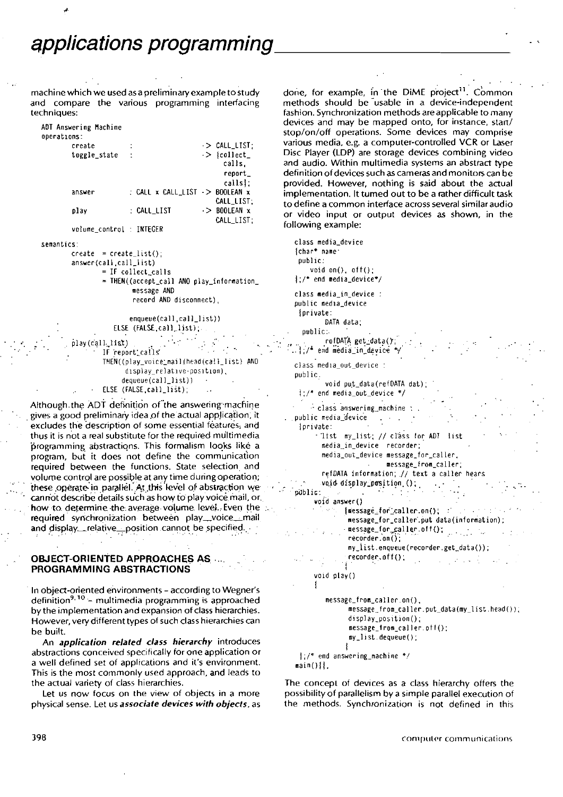machine which we used as a preliminary example to study and compare the various programming interfacing techniques:

```
ADT Answering Machine
operations:
         create
                                                 \cdot > CALL_LIST;
         toggle_state
                                                     fcollect_
                           \blacksquarecalls.
                                                        report_
                                                        calIs<sub>i</sub>answer
                           : CALL x CALL_LIST ->
                                                     BOOLEAN x
                                                     CALL_LIST,
                                                 \cdot > BOOLEAN xplay
                           : CALL LIST
                                                     CALL_LIST:
         volume control : INTEGER
```
#### semantics:

 $create = create list():$ answer(call,call\_list)  $=$  IF collect calls = THEN((accept\_call ANO play\_information\_ message AND record AND disconnect).

> enqueue(call,call\_list)) ELSE (FALSE call list);

play(call\_list)

```
IF report calls
THEN((play_voice_mail(head(call_list) AND
      display relative-position).
     dequeue(call_list))
ELSE (FALSE.call_list);
```
Although the ADT definition of the answering machine gives a good preliminary idea of the actual application, it excludes the description of some essential features, and thus it is not a real substitute for the required multimedia programming abstractions. This formalism looks like a program, but it does not define the communication required between the functions. State selection and volume control are possible at any time during operation; these operate in parallel. At this level of abstraction we cannot describe details such as how to play voice mail, or how to determine the average volume level. Even the required synchronization between play\_voice\_mail and display\_relative\_position cannot be specified.

#### **OBJECT-ORIENTED APPROACHES AS...** PROGRAMMING ABSTRACTIONS

In object-oriented environments - according to Wegner's definition<sup>9, 10</sup> - multimedia programming is approached by the implementation and expansion of class hierarchies. However, very different types of such class hierarchies can be built.

An application related class hierarchy introduces abstractions conceived specifically for one application or a well defined set of applications and it's environment. This is the most commonly used approach, and leads to the actual variety of class hierarchies.

Let us now focus on the view of objects in a more physical sense. Let us associate devices with objects, as done, for example, in the DIME project<sup>11</sup>. Common methods should be usable in a device-independent fashion. Synchronization methods are applicable to many devices and may be mapped onto, for instance, start/ stop/on/off operations. Some devices may comprise various media, e.g. a computer-controlled VCR or Laser Disc Player (LDP) are storage devices combining video and audio. Within multimedia systems an abstract type definition of devices such as cameras and monitors can be provided. However, nothing is said about the actual implementation. It tumed out to be a rather difficult task to define a common interface across several similar audio or video input or output devices as shown, in the following example:

```
class media_device
{char* name
 public:
    void on(), off().
:/* end media_device*/
class media_in_device :
public media_device
 {private:
        DATA data:
  oublic.
       rofDATA get cata();
     end media_in_device
class media out device :
public.
        void put data(refDATA dat):
 \frac{1}{2} /* end media_out_device */
    class answering machine
public media_device
 iprivate:
      list my_list; // class for ADT
                                        list
       media_in_device recorder;
       media_out_device message_for_caller.
                        message_from_caller;
       refDATA information; // text a caller hears
       void display_pesition ();
public
     void answer()
             {message_for_caller.on();
              message_for_caller.put data(information);
              message_for_caller.off();
              reorder.in()my_list.enqueue(recorder.get_data());
              recorder, off() ;
                                          27.24 - 6.void play()
        message_from_caller.on(),
              message_from_caller.put_data(my_list.head());
              display_position();
              message_from_caller.off();
              my\_list.dequeue()| /* end answering_machine */
```

```
main() |.
```
The concept of devices as a class hierarchy offers the possibility of parallelism by a simple parallel execution of the methods. Synchronization is not defined in this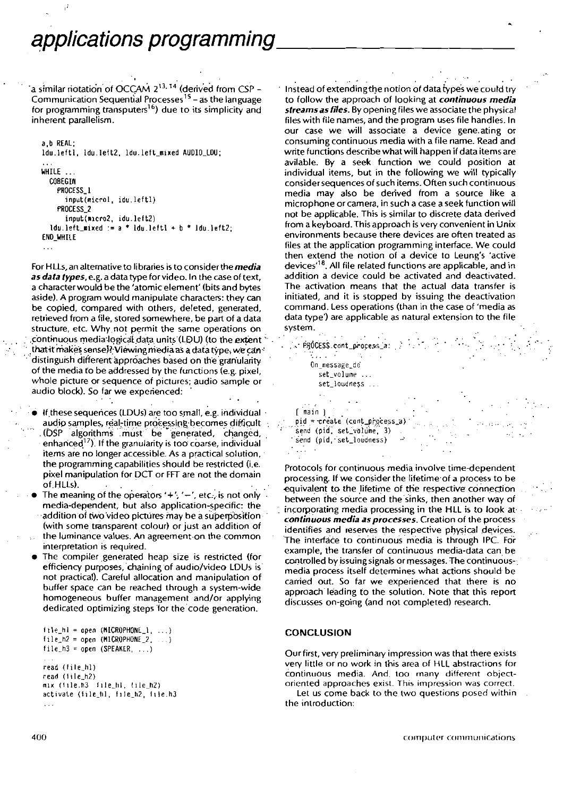a similar notation of OCCAM 2<sup>13, 14</sup> (derived from CSP -Communication Sequential Processes<sup>15</sup> - as the language for programming transputers<sup>16</sup>) due to its simplicity and inherent parallelism.

```
a.b REAL: 
1du.leftl. ldu.left2. Idu. left-mired AUDIO-LDU; 
... 
UHILE ... MBEGIN 
    PROCESS-1 
      input(micra1. idu.left1) 
    PROCESS-2 
      input(iicro2. idu.left.2) 
  1du.leftLmixed := a * 1du.leftl + b ' ldu.left2; 
END-UHILE 
...
```
For HLLs, an alternative to libraries is to consider the *media* as data types, e.g. a data type for video. In the case of text, a characterwould be the 'atomicelement' (bits and bytes aside). A program would manipulate characters: they can be copied, compared with others, deleted, generated, retrieved from a file. stored somewhere, be part of a data structure, etc. Why not permit the same operations on<br>continuous media logical data units (LDU) (to the extent that it makes sense)? Viewing media as a data type, we can distinguish different approaches based on the granularity of the media to be aädressed by the functions(e.g. pixel, whole picture or sequence of pictures; audio sample or audio block). So far we experienced:

- . (DSP algorithms must be generated, changed, enhanced<sup>12</sup>). If the granularity is too coarse, individual items are no longer accessible. As a practical solution, the programming capabilities should be restricted (i.e.
- 
- 

```
lile_hl = open (MICROPHONE_1, ...)
file_h2 = open (HlCROPHONE_2. ) 
file_h3 = open (SPEAKER, ...). . 
read (lile-hl) 
read (lile.h2) 
nix (iilen3 llle~l~l, Ille~i72) 
activale (lile.lil, lile.112, fileh3
```
.<br>Instead of extending the notion of data types we could try to follow the approach of looking at *continuous media* streams as files. By opening files we associate the physical files with file names, and the program uses file handles. In our case we will associate a device gene.ating or consuming continuous media with a file name. Read and write functions describe what will happen if data items are avilable. By a seek function we could position at individual items. but in the following we will typically considersequences of such items. Often such continuous media may also be derived from a source like a microphone or camera. in such a case aseek function will not be applicable. This is similar to discrete data derived from a keyboard.Thisapproach is very convenient in Unix environments because there devices are often treated as files at the application programming interiace. We could then extend the notion of a device to Leung's 'active devices<sup>18</sup>. All file related functions are applicable, and in addition a device could be activated and deactivated. The activation means that the actual data transfer is initiated, and it is stopped by issuing the deactivation command. Less operations (than in the case of 'media as data type') are applicable as natural extension to the file System.

. ...~. . ~

| $\therefore$ continuous media logical data units (LDU) (to the extent $\therefore$<br>that it makes sense)? Viewing media as a data type, we can<br>distinguish different approaches based on the granularity<br>of the media to be addressed by the functions (e.g. pixel,<br>whole picture or sequence of pictures; audio sample or<br>audio block). So far we experienced: | PROCESS cont_process_a: http://www.com/<br>On message do<br>set volume<br>set loudness           |  |
|-------------------------------------------------------------------------------------------------------------------------------------------------------------------------------------------------------------------------------------------------------------------------------------------------------------------------------------------------------------------------------|--------------------------------------------------------------------------------------------------|--|
| $\bullet$ If these sequences (LDUs) are too small, e.g. individual<br>audio samples, real-time processing becomes difficult<br>(DSP<br>algorithms must be generated, changed,<br>enhanced <sup>12</sup> ). If the granularity is too coarse, individual                                                                                                                       | main I<br>$pid = create (cont_process_a)$<br>send (pid set_volume, 3)<br>send (pid set_loudness) |  |

the programming capabilities should be restricted (i.e.  $\frac{1}{2}$  Protocols for continuous media involve time-dependent<br>pixel manipulation for DCT or FFT are not the domain<br>of HLLs).<br>The meaning of the operators '+', '-', The meaning of the operators  $\pi$ ,  $\pi$ , etc., is not only<br>media-dependent, but also application-specific: the<br>addition of two video pictures may be a superposition addition of two video pictures may be a superposition<br>
(with some transparent colour) or just an addition of<br>
the luminance values. An agreement on the common<br>
interpretation is required.<br>
The interface to continuous media

#### **CONCLUSION**

Our first, very preliminary impression was that there exists very little or no work in this area of HLL abstractions for continuous media. And. too rnany different objectoriented approaches exist. This irnpression was correcl.

Let us come back to the two questions posed within the introduction: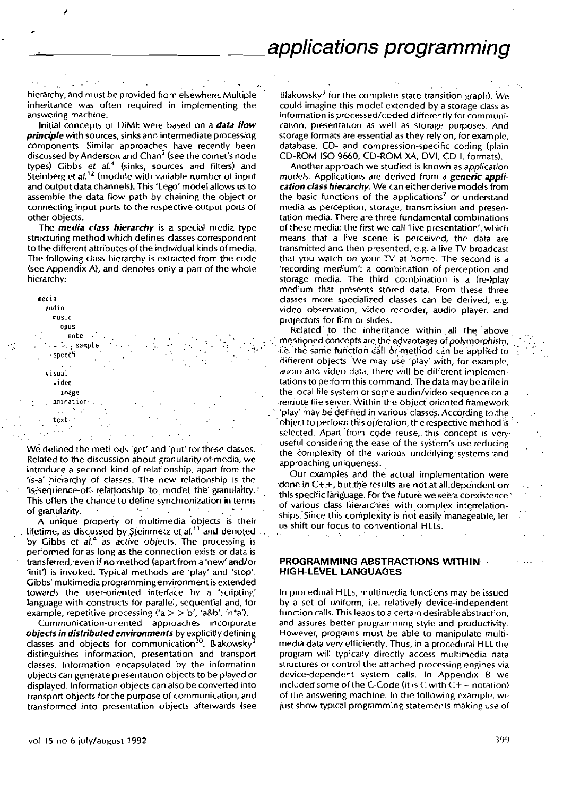hierarchy, and must be provided from elsewhere. Multiple inhentance was often required in implementing the answering machine.

Initial concepts of DiME were based on a data flow **principle** with sources, sinks and intermediate processing components. Similar approaches have recently been discussed by Anderson and Chan<sup>2</sup> (see the comet's node types) Gibbs et al.<sup>4</sup> (sinks, sources and filters) and Steinberg et al.<sup>12</sup> (module with variable number of input and output data channels). This 'Lego' model allows us to assemble the data flow path by chaining the object or connecting input ports to the respective output ports of other objects.

The *media class hierarchy* is a special media type structuring method which defines classes correspondent to the different attributes of the individual kinds of media. The following class hierarchy is extracted from the code (see Appendix A), and denotes only a part of the whole hierarchy:

| media                   |  |  |  |
|-------------------------|--|--|--|
| audio                   |  |  |  |
| music                   |  |  |  |
| opus                    |  |  |  |
| note                    |  |  |  |
| $\sim$ sample<br>speech |  |  |  |
|                         |  |  |  |
| visual                  |  |  |  |
| video<br>image          |  |  |  |
| animation.              |  |  |  |
| text.<br>ò,             |  |  |  |

We defined the methods 'get' and 'put' for these classes. Related to the discussion about granularity of media, we introduce a second kind of relationship, apart from the 'is-a' hierarchy of classes. The new relationship is the 'is-sequence-of' relationship to model the granulaity. This offers the chance to define synchronization in terms of granularity.

A unique property of multimedia objects is their lifetime, as discussed by Steinmetz et al.<sup>11</sup> and denoted by Gibbs et al.<sup>4</sup> as active objects. The processing is performed for as long as the connection exists or data is transferred, even if no method (apart from a 'new' and/or 'init') is invoked. Typical methods are 'play' and 'stop'. Gibbs' multimedia programming environment is extended towards the user-oriented interface by a 'scripting' language with constructs for parallel, sequential and, for example, repetitive processing  $(a > b', 'a\&b', 'n^*a').$ 

Communication-oriented approaches incorporate objects in distributed environments by explicitly defining classes and objects for communication<sup>20</sup>. Blakowsky distinguishes information, presentation and transport classes. Information encapsulated by the information objects can generate presentation objects to be played or displayed. Information objects can also be converted into transport objects for the purpose of communication, and transformed into presentation objects afterwards (see

Blakowsky<sup>3</sup> for the complete state transition graph). We could imagine this model extended by a storage class as information is processed/coded differently for communication, presentation as well as storage purposes. And storage formats are essential as they rely on, for example. database, CD- and compression-specific coding (plain CD-ROM ISO 9660, CD-ROM XA, DVI, CD-I, formats).

Another approach we studied is known as application models. Applications are derived from a generic application class hierarchy. We can either derive models from the basic functions of the applications<sup>7</sup> or understand media as perception, storage, transmission and presentation media. There are three fundamental combinations of these media: the first we call 'live presentation', which means that a live scene is perceived, the data are transmitted and then presented, e.g. a live TV broadcast that you watch on your TV at home. The second is a 'recording medium': a combination of perception and storage media. The third combination is a (re-)play medium that presents stored data. From these three classes more specialized classes can be derived, e.g. video observation, video recorder, audio player, and projectors for film or slides.

Related to the inheritance within all the above mentioned concepts are the advantages of polymorphism, i.e. the same function call or method can be applied to different objects. We may use 'play' with, for example, audio and video data, there will be different implementations to perform this command. The data may be a file in the local file system or some audio/video sequence on a remote file server. Within the object-oriented framework play' may be defined in various classes. According to the object to perform this operation, the respective method is selected. Apart from code reuse, this concept is very useful considering the ease of the system's use reducing the complexity of the various underlying systems and approaching uniqueness.

Our examples and the actual implementation were done in  $C_{+}$ , but the results are not at all dependent on this specific language. For the future we see a coexistence ' of various class hierarchies with complex interrelationships. Since this complexity is not easily manageable, let us shift our focus to conventional HLLs. **Service Street, Alex** 

#### PROGRAMMING ABSTRACTIONS WITHIN **HIGH-LEVEL LANGUAGES**

In procedural HLLs, multimedia functions may be issued by a set of uniform, i.e. relatively device-independent function calls. This leads to a certain desirable abstraction, and assures better programming style and productivity. However, programs must be able to manipulate multimedia data very efficiently. Thus, in a procedural HLL the program will typically directly access multimedia data structures or control the attached processing engines via device-dependent system calls. In Appendix B we included some of the C-Code (it is C with  $C++$  notation) of the answering machine. In the following example, we just show typical programming statements making use of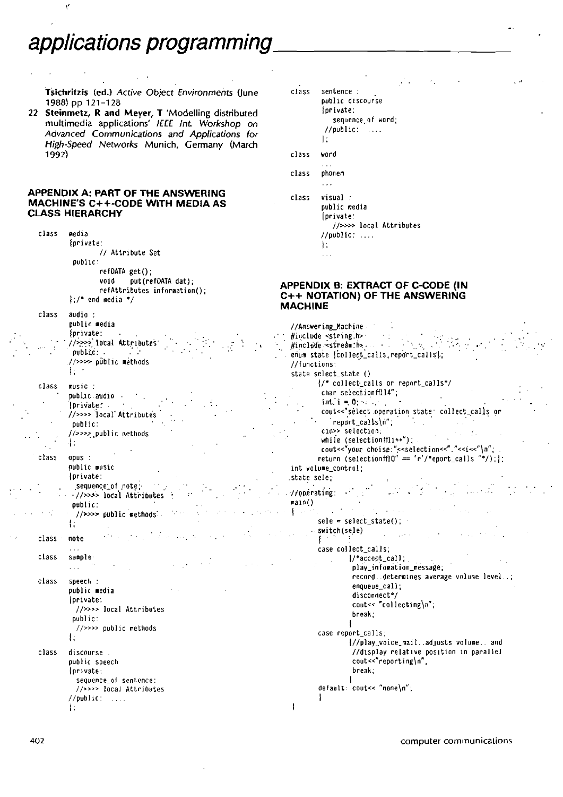## applications programming

 $\bar{\ell}^{\prime}$ 

 $\mathcal{L}_{\mathbf{a}}$ 

Tsichritzis (ed.) Active Object Environments (June 1988) pp 121-128

22 Steinmetz, R and Meyer, T 'Modelling distributed multimedia applications' IEEE Int. Workshop on Advanced Communications and Applications for High-Speed Networks Munich, Germany (March 1992)

#### APPENDIX A: PART OF THE ANSWERING **MACHINE'S C++-CODE WITH MEDIA AS CLASS HIERARCHY**

| class | media                                                                                                                         | //public:                                                                           |
|-------|-------------------------------------------------------------------------------------------------------------------------------|-------------------------------------------------------------------------------------|
|       | {private:                                                                                                                     | ł÷.                                                                                 |
|       | // Attribute Set                                                                                                              |                                                                                     |
|       | public:                                                                                                                       |                                                                                     |
|       | refDATA get();                                                                                                                |                                                                                     |
|       | void<br>put(refDATA dat);                                                                                                     |                                                                                     |
|       | refAttributes information();                                                                                                  | APPENDIX B: EXTRACT OF C-CODE (IN                                                   |
|       | $\mathcal{L}$ ;/* end media */                                                                                                | C++ NOTATION) OF THE ANSWERING                                                      |
|       |                                                                                                                               | <b>MACHINE</b>                                                                      |
| class | audio :                                                                                                                       |                                                                                     |
|       | public media                                                                                                                  | //Answering_Machine                                                                 |
|       | fprivate:                                                                                                                     | #include <string.h></string.h>                                                      |
|       | //>>>> local Attributes                                                                                                       | #include <stream h=""> Allen</stream>                                               |
|       | public:                                                                                                                       | enum state (collect_calls.report_calls):                                            |
|       | $1/>>$ public methods                                                                                                         | //functions:                                                                        |
|       | 打上                                                                                                                            | state select_state ()                                                               |
|       |                                                                                                                               | {/* collect_calls or report_calls*/                                                 |
| class | music:                                                                                                                        | char selectionffll4";                                                               |
|       | public audio                                                                                                                  | int. $i = 0, \cdots$                                                                |
|       | (private' '                                                                                                                   | cout<<"select operation state collect_calls or                                      |
|       | //>>>> local Attributes                                                                                                       |                                                                                     |
|       | public:                                                                                                                       | report_calls\n";                                                                    |
|       | //>>>> public methods                                                                                                         | cin>> selection;                                                                    |
|       | 47                                                                                                                            | while $\text{(selectionffli++}'')$ ;                                                |
|       |                                                                                                                               | cout<<"your choise:"< <selection<<"."<<i<<"\n";< td=""></selection<<"."<<i<<"\n";<> |
| class | opus :                                                                                                                        | return (selectionffl0" == 'r'/*eport_calls "*/);};                                  |
|       | oublic music                                                                                                                  | int volume_control;                                                                 |
|       | private:                                                                                                                      | state sele;                                                                         |
|       | sequence of note                                                                                                              | $1/$ /operating $-$                                                                 |
|       | $\cdot$ //>>>> local Attributes $\cdot$                                                                                       | man()                                                                               |
|       | public:                                                                                                                       | $\{ \gamma_{\alpha} \}_{\alpha \in \mathbb{N}}$ , $\gamma_{\alpha}$                 |
|       | $//\rightarrow\rightarrow\rightarrow$ public methods.                                                                         | $\text{select\_state}()$ ;                                                          |
|       | 壮                                                                                                                             | $\cdot$ switch(sele)                                                                |
| class | $\mathcal{F}^{\mathcal{A}}$ , $\mathcal{F}^{\mathcal{A}}$ , $\mathcal{F}^{\mathcal{A}}$ , $\mathcal{F}^{\mathcal{A}}$<br>note |                                                                                     |
|       | $\sim$ $\sim$                                                                                                                 | case collect_calls;                                                                 |
| class | sample:                                                                                                                       | $\frac{1}{2}$ accept_call                                                           |
|       |                                                                                                                               | play_infomation_message;                                                            |
|       |                                                                                                                               | recorddetermines average volume level                                               |
| class | speech .                                                                                                                      | enqueue_call;                                                                       |
|       | public media                                                                                                                  | disconnect*/                                                                        |
|       | private:                                                                                                                      |                                                                                     |
|       | //>>>> local Attributes                                                                                                       | cout<< "collecting\n";                                                              |
|       | public:                                                                                                                       | break:                                                                              |
|       | //>>>> public methods                                                                                                         |                                                                                     |
|       | ŧ.                                                                                                                            | case report_calls:                                                                  |
|       |                                                                                                                               | {//play_voice_mailadjusts volume and                                                |
| class | discourse.                                                                                                                    | //display relative position in parallel                                             |
|       | public speech                                                                                                                 | cout<<"reporting\n",                                                                |
|       | private:                                                                                                                      | break:                                                                              |
|       | sequence_of sentence:                                                                                                         |                                                                                     |
|       | //>>>> local Attributes                                                                                                       | default: cout<< "none\n";                                                           |
|       | //public:                                                                                                                     |                                                                                     |
|       | 1:                                                                                                                            |                                                                                     |
|       |                                                                                                                               |                                                                                     |

 $\mathcal{L}_{\mathcal{A}}$ 

 $\sim$   $\sim$ 

 $\overline{class}$ 

class

class

class

sentence :

fprivate:

 $\mathbf{E}$ 

word  $\ddotsc$ 

phonem . . .

visual :

(private:

public wedia

public discourse

 $//public: ...$ 

sequence\_of word;

//>>>> local Attributes